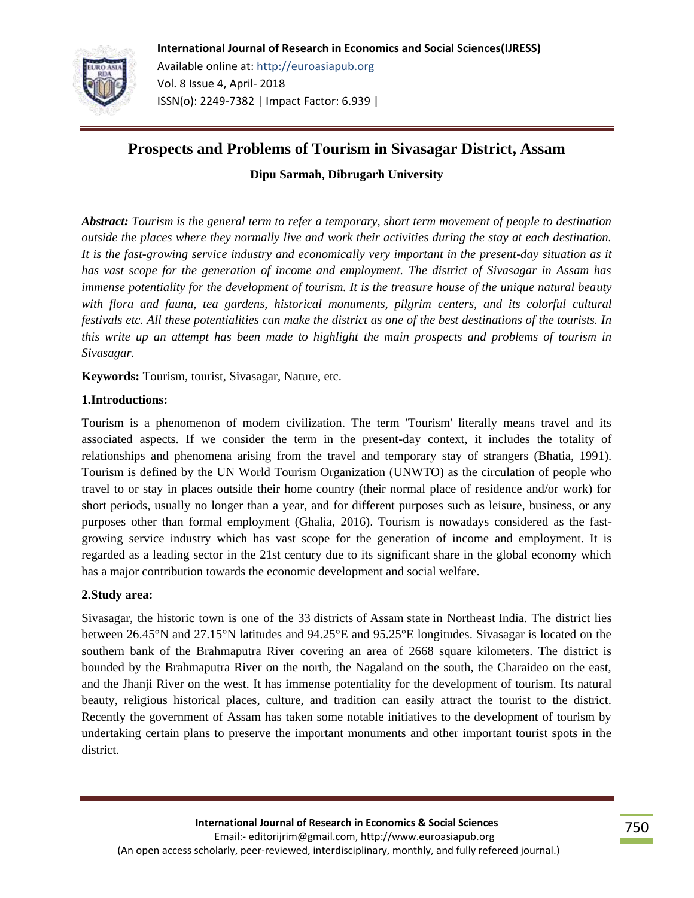

# **Prospects and Problems of Tourism in Sivasagar District, Assam**

**Dipu Sarmah, Dibrugarh University**

*Abstract: Tourism is the general term to refer a temporary, short term movement of people to destination outside the places where they normally live and work their activities during the stay at each destination. It is the fast-growing service industry and economically very important in the present-day situation as it has vast scope for the generation of income and employment. The district of Sivasagar in Assam has immense potentiality for the development of tourism. It is the treasure house of the unique natural beauty*  with flora and fauna, tea gardens, historical monuments, pilgrim centers, and its colorful cultural *festivals etc. All these potentialities can make the district as one of the best destinations of the tourists. In this write up an attempt has been made to highlight the main prospects and problems of tourism in Sivasagar.*

**Keywords:** Tourism, tourist, Sivasagar, Nature, etc.

## **1.Introductions:**

Tourism is a phenomenon of modem civilization. The term 'Tourism' literally means travel and its associated aspects. If we consider the term in the present-day context, it includes the totality of relationships and phenomena arising from the travel and temporary stay of strangers (Bhatia, 1991). Tourism is defined by the UN World Tourism Organization (UNWTO) as the circulation of people who travel to or stay in places outside their home country (their normal place of residence and/or work) for short periods, usually no longer than a year, and for different purposes such as leisure, business, or any purposes other than formal employment (Ghalia, 2016). Tourism is nowadays considered as the fastgrowing service industry which has vast scope for the generation of income and employment. It is regarded as a leading sector in the 21st century due to its significant share in the global economy which has a major contribution towards the economic development and social welfare.

## **2.Study area:**

Sivasagar, the historic town is one of the 33 [districts](https://en.wikipedia.org/wiki/Districts_of_Assam) of [Assam](https://en.wikipedia.org/wiki/Assam) [state](https://en.wikipedia.org/wiki/States_and_territories_of_India) in Northeast [India.](https://en.wikipedia.org/wiki/India) The district lies between 26.45°N and 27.15°N latitudes and 94.25°E and 95.25°E longitudes. Sivasagar is located on the southern bank of the Brahmaputra River covering an area of 2668 square kilometers. The district is bounded by the Brahmaputra River on the north, the Nagaland on the south, the Charaideo on the east, and the Jhanji River on the west. It has immense potentiality for the development of tourism. Its natural beauty, religious historical places, culture, and tradition can easily attract the tourist to the district. Recently the government of Assam has taken some notable initiatives to the development of tourism by undertaking certain plans to preserve the important monuments and other important tourist spots in the district.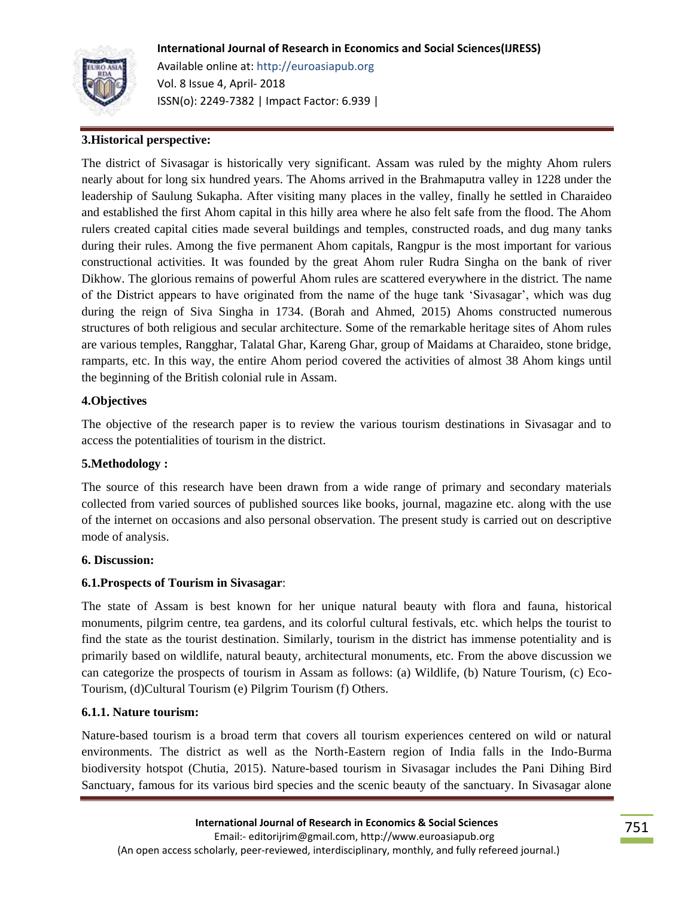## **International Journal of Research in Economics and Social Sciences(IJRESS)**



Available online at: http://euroasiapub.org Vol. 8 Issue 4, April- 2018 ISSN(o): 2249-7382 | Impact Factor: 6.939 |

### **3.Historical perspective:**

The district of Sivasagar is historically very significant. Assam was ruled by the mighty Ahom rulers nearly about for long six hundred years. The Ahoms arrived in the Brahmaputra valley in 1228 under the leadership of Saulung Sukapha. After visiting many places in the valley, finally he settled in Charaideo and established the first Ahom capital in this hilly area where he also felt safe from the flood. The Ahom rulers created capital cities made several buildings and temples, constructed roads, and dug many tanks during their rules. Among the five permanent Ahom capitals, Rangpur is the most important for various constructional activities. It was founded by the great Ahom ruler Rudra Singha on the bank of river Dikhow. The glorious remains of powerful Ahom rules are scattered everywhere in the district. The name of the District appears to have originated from the name of the huge tank "Sivasagar", which was dug during the reign of Siva Singha in 1734. (Borah and Ahmed, 2015) Ahoms constructed numerous structures of both religious and secular architecture. Some of the remarkable heritage sites of Ahom rules are various temples, Rangghar, Talatal Ghar, Kareng Ghar, group of Maidams at Charaideo, stone bridge, ramparts, etc. In this way, the entire Ahom period covered the activities of almost 38 Ahom kings until the beginning of the British colonial rule in Assam.

#### **4.Objectives**

The objective of the research paper is to review the various tourism destinations in Sivasagar and to access the potentialities of tourism in the district.

#### **5.Methodology :**

The source of this research have been drawn from a wide range of primary and secondary materials collected from varied sources of published sources like books, journal, magazine etc. along with the use of the internet on occasions and also personal observation. The present study is carried out on descriptive mode of analysis.

#### **6. Discussion:**

#### **6.1.Prospects of Tourism in Sivasagar**:

The state of Assam is best known for her unique natural beauty with flora and fauna, historical monuments, pilgrim centre, tea gardens, and its colorful cultural festivals, etc. which helps the tourist to find the state as the tourist destination. Similarly, tourism in the district has immense potentiality and is primarily based on wildlife, natural beauty, architectural monuments, etc. From the above discussion we can categorize the prospects of tourism in Assam as follows: (a) Wildlife, (b) Nature Tourism, (c) Eco-Tourism, (d)Cultural Tourism (e) Pilgrim Tourism (f) Others.

#### **6.1.1. Nature tourism:**

Nature-based tourism is a broad term that covers all tourism experiences centered on wild or natural environments. The district as well as the North-Eastern region of India falls in the Indo-Burma biodiversity hotspot (Chutia, 2015). Nature-based tourism in Sivasagar includes the Pani Dihing Bird Sanctuary, famous for its various bird species and the scenic beauty of the sanctuary. In Sivasagar alone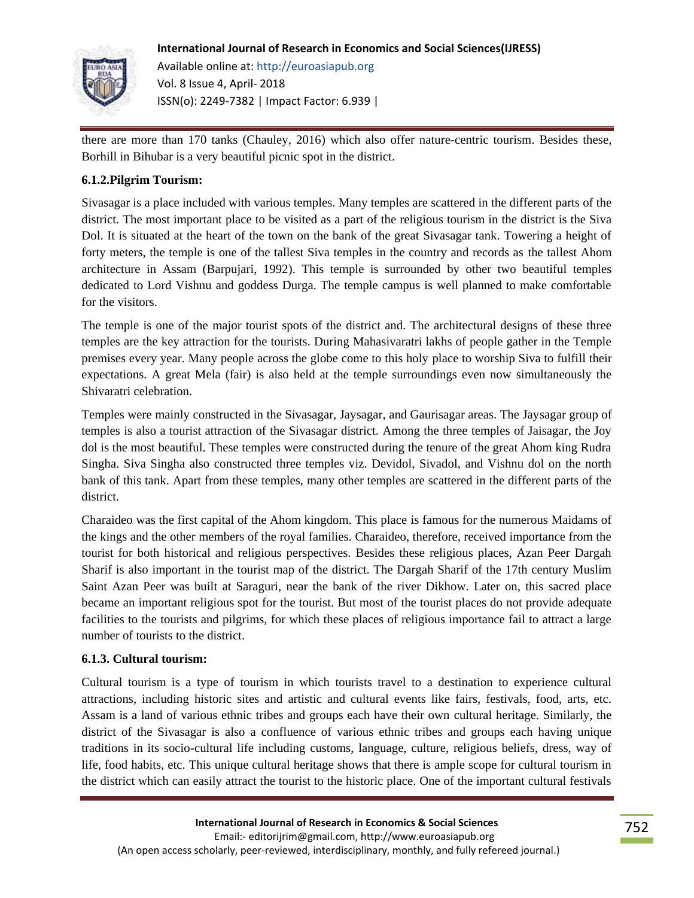

there are more than 170 tanks (Chauley, 2016) which also offer nature-centric tourism. Besides these, Borhill in Bihubar is a very beautiful picnic spot in the district.

## **6.1.2.Pilgrim Tourism:**

Sivasagar is a place included with various temples. Many temples are scattered in the different parts of the district. The most important place to be visited as a part of the religious tourism in the district is the Siva Dol. It is situated at the heart of the town on the bank of the great Sivasagar tank. Towering a height of forty meters, the temple is one of the tallest Siva temples in the country and records as the tallest Ahom architecture in Assam (Barpujari, 1992). This temple is surrounded by other two beautiful temples dedicated to Lord Vishnu and goddess Durga. The temple campus is well planned to make comfortable for the visitors.

The temple is one of the major tourist spots of the district and. The architectural designs of these three temples are the key attraction for the tourists. During Mahasivaratri lakhs of people gather in the Temple premises every year. Many people across the globe come to this holy place to worship Siva to fulfill their expectations. A great Mela (fair) is also held at the temple surroundings even now simultaneously the Shivaratri celebration.

Temples were mainly constructed in the Sivasagar, Jaysagar, and Gaurisagar areas. The Jaysagar group of temples is also a tourist attraction of the Sivasagar district. Among the three temples of Jaisagar, the Joy dol is the most beautiful. These temples were constructed during the tenure of the great Ahom king Rudra Singha. Siva Singha also constructed three temples viz. Devidol, Sivadol, and Vishnu dol on the north bank of this tank. Apart from these temples, many other temples are scattered in the different parts of the district.

Charaideo was the first capital of the Ahom kingdom. This place is famous for the numerous Maidams of the kings and the other members of the royal families. Charaideo, therefore, received importance from the tourist for both historical and religious perspectives. Besides these religious places, Azan Peer Dargah Sharif is also important in the tourist map of the district. The Dargah Sharif of the 17th century Muslim Saint Azan Peer was built at Saraguri, near the bank of the river Dikhow. Later on, this sacred place became an important religious spot for the tourist. But most of the tourist places do not provide adequate facilities to the tourists and pilgrims, for which these places of religious importance fail to attract a large number of tourists to the district.

#### **6.1.3. Cultural tourism:**

Cultural tourism is a type of tourism in which tourists travel to a destination to experience cultural attractions, including historic sites and artistic and cultural events like fairs, festivals, food, arts, etc. Assam is a land of various ethnic tribes and groups each have their own cultural heritage. Similarly, the district of the Sivasagar is also a confluence of various ethnic tribes and groups each having unique traditions in its socio-cultural life including customs, language, culture, religious beliefs, dress, way of life, food habits, etc. This unique cultural heritage shows that there is ample scope for cultural tourism in the district which can easily attract the tourist to the historic place. One of the important cultural festivals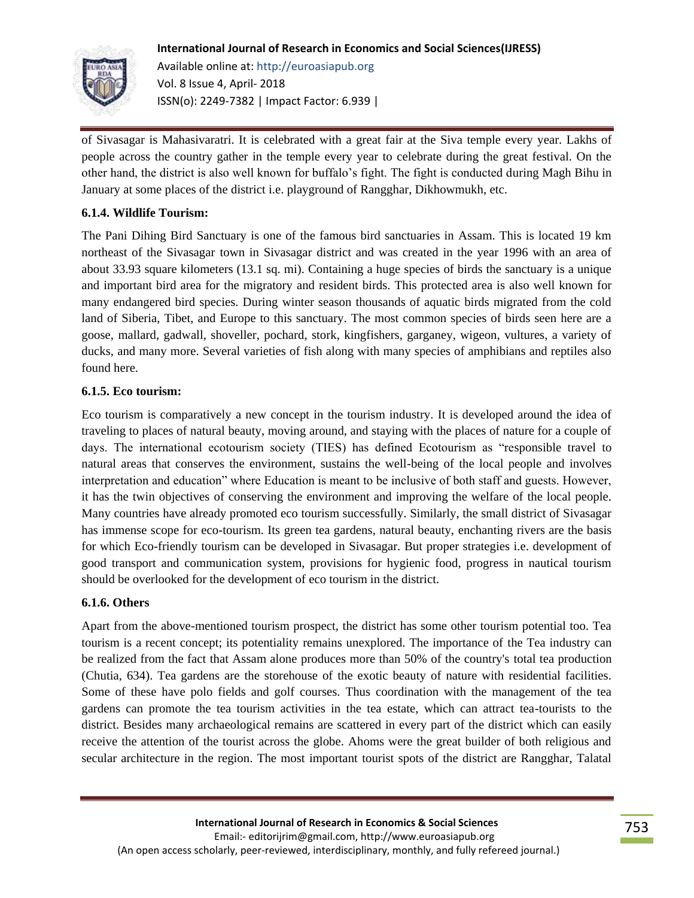

of Sivasagar is Mahasivaratri. It is celebrated with a great fair at the Siva temple every year. Lakhs of people across the country gather in the temple every year to celebrate during the great festival. On the other hand, the district is also well known for buffalo"s fight. The fight is conducted during Magh Bihu in January at some places of the district i.e. playground of Rangghar, Dikhowmukh, etc.

## **6.1.4. Wildlife Tourism:**

The Pani Dihing Bird Sanctuary is one of the famous bird sanctuaries in Assam. This is located 19 km northeast of the Sivasagar town in Sivasagar district and was created in the year 1996 with an area of about 33.93 square kilometers (13.1 sq. mi). Containing a huge species of birds the sanctuary is a unique and important bird area for the migratory and resident birds. This protected area is also well known for many endangered bird species. During winter season thousands of aquatic birds migrated from the cold land of Siberia, Tibet, and Europe to this sanctuary. The most common species of birds seen here are a goose, mallard, gadwall, shoveller, pochard, stork, kingfishers, garganey, wigeon, vultures, a variety of ducks, and many more. Several varieties of fish along with many species of amphibians and reptiles also found here.

## **6.1.5. Eco tourism:**

Eco tourism is comparatively a new concept in the tourism industry. It is developed around the idea of traveling to places of natural beauty, moving around, and staying with the places of nature for a couple of days. The international ecotourism society (TIES) has defined Ecotourism as "responsible travel to natural areas that conserves the environment, sustains the well-being of the local people and involves interpretation and education" where Education is meant to be inclusive of both staff and guests. However, it has the twin objectives of conserving the environment and improving the welfare of the local people. Many countries have already promoted eco tourism successfully. Similarly, the small district of Sivasagar has immense scope for eco-tourism. Its green tea gardens, natural beauty, enchanting rivers are the basis for which Eco-friendly tourism can be developed in Sivasagar. But proper strategies i.e. development of good transport and communication system, provisions for hygienic food, progress in nautical tourism should be overlooked for the development of eco tourism in the district.

#### **6.1.6. Others**

Apart from the above-mentioned tourism prospect, the district has some other tourism potential too. Tea tourism is a recent concept; its potentiality remains unexplored. The importance of the Tea industry can be realized from the fact that Assam alone produces more than 50% of the country's total tea production (Chutia, 634). Tea gardens are the storehouse of the exotic beauty of nature with residential facilities. Some of these have polo fields and golf courses. Thus coordination with the management of the tea gardens can promote the tea tourism activities in the tea estate, which can attract tea-tourists to the district. Besides many archaeological remains are scattered in every part of the district which can easily receive the attention of the tourist across the globe. Ahoms were the great builder of both religious and secular architecture in the region. The most important tourist spots of the district are Rangghar, Talatal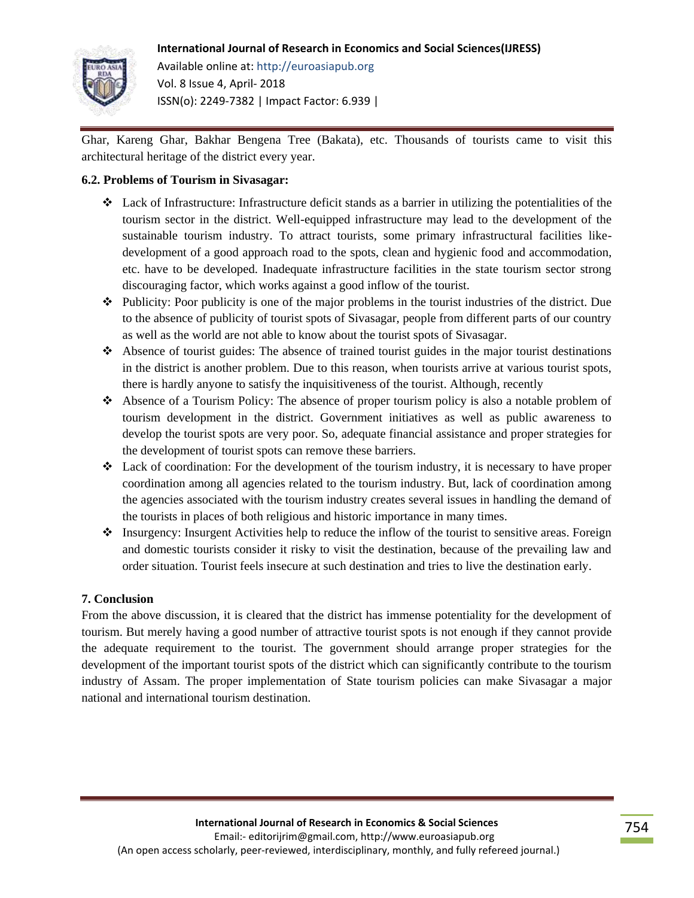## **International Journal of Research in Economics and Social Sciences(IJRESS)**



Available online at: http://euroasiapub.org Vol. 8 Issue 4, April- 2018 ISSN(o): 2249-7382 | Impact Factor: 6.939 |

Ghar, Kareng Ghar, Bakhar Bengena Tree (Bakata), etc. Thousands of tourists came to visit this architectural heritage of the district every year.

## **6.2. Problems of Tourism in Sivasagar:**

- $\triangle$  Lack of Infrastructure: Infrastructure deficit stands as a barrier in utilizing the potentialities of the tourism sector in the district. Well-equipped infrastructure may lead to the development of the sustainable tourism industry. To attract tourists, some primary infrastructural facilities likedevelopment of a good approach road to the spots, clean and hygienic food and accommodation, etc. have to be developed. Inadequate infrastructure facilities in the state tourism sector strong discouraging factor, which works against a good inflow of the tourist.
- $\bullet$  Publicity: Poor publicity is one of the major problems in the tourist industries of the district. Due to the absence of publicity of tourist spots of Sivasagar, people from different parts of our country as well as the world are not able to know about the tourist spots of Sivasagar.
- $\triangleleft$  Absence of tourist guides: The absence of trained tourist guides in the major tourist destinations in the district is another problem. Due to this reason, when tourists arrive at various tourist spots, there is hardly anyone to satisfy the inquisitiveness of the tourist. Although, recently
- Absence of a Tourism Policy: The absence of proper tourism policy is also a notable problem of tourism development in the district. Government initiatives as well as public awareness to develop the tourist spots are very poor. So, adequate financial assistance and proper strategies for the development of tourist spots can remove these barriers.
- Lack of coordination: For the development of the tourism industry, it is necessary to have proper coordination among all agencies related to the tourism industry. But, lack of coordination among the agencies associated with the tourism industry creates several issues in handling the demand of the tourists in places of both religious and historic importance in many times.
- Insurgency: Insurgent Activities help to reduce the inflow of the tourist to sensitive areas. Foreign and domestic tourists consider it risky to visit the destination, because of the prevailing law and order situation. Tourist feels insecure at such destination and tries to live the destination early.

## **7. Conclusion**

From the above discussion, it is cleared that the district has immense potentiality for the development of tourism. But merely having a good number of attractive tourist spots is not enough if they cannot provide the adequate requirement to the tourist. The government should arrange proper strategies for the development of the important tourist spots of the district which can significantly contribute to the tourism industry of Assam. The proper implementation of State tourism policies can make Sivasagar a major national and international tourism destination.